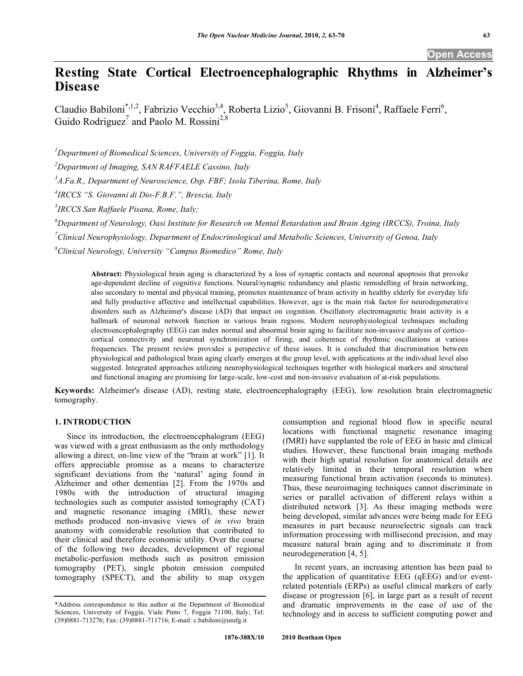# **Resting State Cortical Electroencephalographic Rhythms in Alzheimer's Disease**

Claudio Babiloni<sup>\*,1,2</sup>, Fabrizio Vecchio<sup>3,4</sup>, Roberta Lizio<sup>5</sup>, Giovanni B. Frisoni<sup>4</sup>, Raffaele Ferri<sup>6</sup>, Guido Rodriguez<sup>7</sup> and Paolo M. Rossini<sup>2,8</sup>

*1 Department of Biomedical Sciences, University of Foggia, Foggia, Italy* 

*2 Department of Imaging, SAN RAFFAELE Cassino, Italy* 

*3 A.Fa.R., Department of Neuroscience, Osp. FBF; Isola Tiberina, Rome, Italy* 

*4 IRCCS "S. Giovanni di Dio-F.B.F.", Brescia, Italy* 

*5 IRCCS San Raffaele Pisana, Rome, Italy;* 

*6 Department of Neurology, Oasi Institute for Research on Mental Retardation and Brain Aging (IRCCS), Troina, Italy* 

*7 Clinical Neurophysiology, Department of Endocrinological and Metabolic Sciences, University of Genoa, Italy* 

*8 Clinical Neurology, University "Campus Biomedico" Rome, Italy* 

**Abstract:** Physiological brain aging is characterized by a loss of synaptic contacts and neuronal apoptosis that provoke age-dependent decline of cognitive functions. Neural/synaptic redundancy and plastic remodelling of brain networking, also secondary to mental and physical training, promotes maintenance of brain activity in healthy elderly for everyday life and fully productive affective and intellectual capabilities. However, age is the main risk factor for neurodegenerative disorders such as Alzheimer's disease (AD) that impact on cognition. Oscillatory electromagnetic brain activity is a hallmark of neuronal network function in various brain regions. Modern neurophysiological techniques including electroencephalography (EEG) can index normal and abnormal brain aging to facilitate non-invasive analysis of cortico– cortical connectivity and neuronal synchronization of firing, and coherence of rhythmic oscillations at various frequencies. The present review provides a perspective of these issues. It is concluded that discrimination between physiological and pathological brain aging clearly emerges at the group level, with applications at the individual level also suggested. Integrated approaches utilizing neurophysiological techniques together with biological markers and structural and functional imaging are promising for large-scale, low-cost and non-invasive evaluation of at-risk populations.

**Keywords:** Alzheimer's disease (AD), resting state, electroencephalography (EEG), low resolution brain electromagnetic tomography.

# **1. INTRODUCTION**

 Since its introduction, the electroencephalogram (EEG) was viewed with a great enthusiasm as the only methodology allowing a direct, on-line view of the "brain at work" [1]. It offers appreciable promise as a means to characterize significant deviations from the 'natural' aging found in Alzheimer and other dementias [2]. From the 1970s and 1980s with the introduction of structural imaging technologies such as computer assisted tomography (CAT) and magnetic resonance imaging (MRI), these newer methods produced non-invasive views of *in vivo* brain anatomy with considerable resolution that contributed to their clinical and therefore economic utility. Over the course of the following two decades, development of regional metabolic-perfusion methods such as positron emission tomography (PET), single photon emission computed tomography (SPECT), and the ability to map oxygen

consumption and regional blood flow in specific neural locations with functional magnetic resonance imaging (fMRI) have supplanted the role of EEG in basic and clinical studies. However, these functional brain imaging methods with their high spatial resolution for anatomical details are relatively limited in their temporal resolution when measuring functional brain activation (seconds to minutes). Thus, these neuroimaging techniques cannot discriminate in series or parallel activation of different relays within a distributed network [3]. As these imaging methods were being developed, similar advances were being made for EEG measures in part because neuroelectric signals can track information processing with millisecond precision, and may measure natural brain aging and to discriminate it from neurodegeneration [4, 5].

 In recent years, an increasing attention has been paid to the application of quantitative EEG (qEEG) and/or eventrelated potentials (ERPs) as useful clinical markers of early disease or progression [6], in large part as a result of recent and dramatic improvements in the ease of use of the technology and in access to sufficient computing power and

<sup>\*</sup>Address correspondence to this author at the Department of Biomedical Sciences, University of Foggia, Viale Pinto 7, Foggia 71100, Italy; Tel: (39)0881-713276; Fax: (39)0881-711716; E-mail: c.babiloni@unifg.it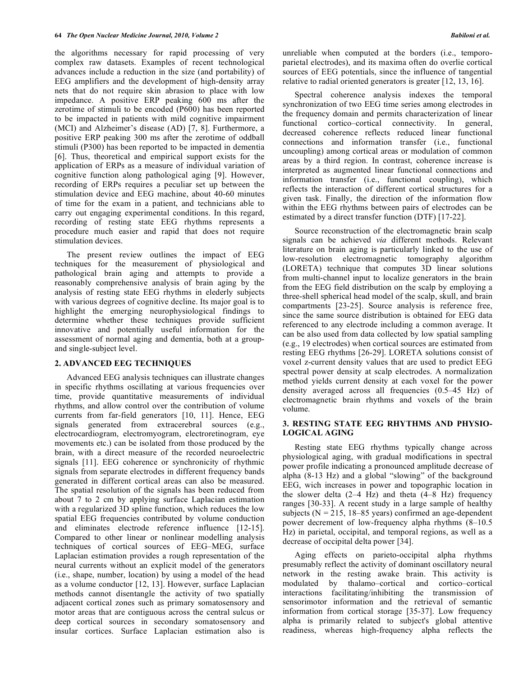the algorithms necessary for rapid processing of very complex raw datasets. Examples of recent technological advances include a reduction in the size (and portability) of EEG amplifiers and the development of high-density array nets that do not require skin abrasion to place with low impedance. A positive ERP peaking 600 ms after the zerotime of stimuli to be encoded (P600) has been reported to be impacted in patients with mild cognitive impairment (MCI) and Alzheimer's disease (AD) [7, 8]. Furthermore, a positive ERP peaking 300 ms after the zerotime of oddball stimuli (P300) has been reported to be impacted in dementia [6]. Thus, theoretical and empirical support exists for the application of ERPs as a measure of individual variation of cognitive function along pathological aging [9]. However, recording of ERPs requires a peculiar set up between the stimulation device and EEG machine, about 40-60 minutes of time for the exam in a patient, and technicians able to carry out engaging experimental conditions. In this regard, recording of resting state EEG rhythms represents a procedure much easier and rapid that does not require stimulation devices.

 The present review outlines the impact of EEG techniques for the measurement of physiological and pathological brain aging and attempts to provide a reasonably comprehensive analysis of brain aging by the analysis of resting state EEG rhythms in elederly subjects with various degrees of cognitive decline. Its major goal is to highlight the emerging neurophysiological findings to determine whether these techniques provide sufficient innovative and potentially useful information for the assessment of normal aging and dementia, both at a groupand single-subject level.

#### **2. ADVANCED EEG TECHNIQUES**

 Advanced EEG analysis techniques can illustrate changes in specific rhythms oscillating at various frequencies over time, provide quantitative measurements of individual rhythms, and allow control over the contribution of volume currents from far-field generators [10, 11]. Hence, EEG signals generated from extracerebral sources (e.g., electrocardiogram, electromyogram, electroretinogram, eye movements etc.) can be isolated from those produced by the brain, with a direct measure of the recorded neuroelectric signals [11]. EEG coherence or synchronicity of rhythmic signals from separate electrodes in different frequency bands generated in different cortical areas can also be measured. The spatial resolution of the signals has been reduced from about 7 to 2 cm by applying surface Laplacian estimation with a regularized 3D spline function, which reduces the low spatial EEG frequencies contributed by volume conduction and eliminates electrode reference influence [12-15]. Compared to other linear or nonlinear modelling analysis techniques of cortical sources of EEG–MEG, surface Laplacian estimation provides a rough representation of the neural currents without an explicit model of the generators (i.e., shape, number, location) by using a model of the head as a volume conductor [12, 13]. However, surface Laplacian methods cannot disentangle the activity of two spatially adjacent cortical zones such as primary somatosensory and motor areas that are contiguous across the central sulcus or deep cortical sources in secondary somatosensory and insular cortices. Surface Laplacian estimation also is

unreliable when computed at the borders (i.e., temporoparietal electrodes), and its maxima often do overlie cortical sources of EEG potentials, since the influence of tangential relative to radial oriented generators is greater [12, 13, 16].

 Spectral coherence analysis indexes the temporal synchronization of two EEG time series among electrodes in the frequency domain and permits characterization of linear functional cortico–cortical connectivity. In general, decreased coherence reflects reduced linear functional connections and information transfer (i.e., functional uncoupling) among cortical areas or modulation of common areas by a third region. In contrast, coherence increase is interpreted as augmented linear functional connections and information transfer (i.e., functional coupling), which reflects the interaction of different cortical structures for a given task. Finally, the direction of the information flow within the EEG rhythms between pairs of electrodes can be estimated by a direct transfer function (DTF) [17-22].

 Source reconstruction of the electromagnetic brain scalp signals can be achieved *via* different methods. Relevant literature on brain aging is particularly linked to the use of low-resolution electromagnetic tomography algorithm (LORETA) technique that computes 3D linear solutions from multi-channel input to localize generators in the brain from the EEG field distribution on the scalp by employing a three-shell spherical head model of the scalp, skull, and brain compartments [23-25]. Source analysis is reference free, since the same source distribution is obtained for EEG data referenced to any electrode including a common average. It can be also used from data collected by low spatial sampling (e.g., 19 electrodes) when cortical sources are estimated from resting EEG rhythms [26-29]. LORETA solutions consist of voxel z-current density values that are used to predict EEG spectral power density at scalp electrodes. A normalization method yields current density at each voxel for the power density averaged across all frequencies (0.5–45 Hz) of electromagnetic brain rhythms and voxels of the brain volume.

### **3. RESTING STATE EEG RHYTHMS AND PHYSIO-LOGICAL AGING**

 Resting state EEG rhythms typically change across physiological aging, with gradual modifications in spectral power profile indicating a pronounced amplitude decrease of alpha (8-13 Hz) and a global "slowing" of the background EEG, wich increases in power and topographic location in the slower delta  $(2-4$  Hz) and theta  $(4-8$  Hz) frequency ranges [30-33]. A recent study in a large sample of healthy subjects ( $N = 215$ , 18–85 years) confirmed an age-dependent power decrement of low-frequency alpha rhythms (8–10.5 Hz) in parietal, occipital, and temporal regions, as well as a decrease of occipital delta power [34].

 Aging effects on parieto-occipital alpha rhythms presumably reflect the activity of dominant oscillatory neural network in the resting awake brain. This activity is modulated by thalamo–cortical and cortico–cortical interactions facilitating/inhibiting the transmission of sensorimotor information and the retrieval of semantic information from cortical storage [35-37]. Low frequency alpha is primarily related to subject's global attentive readiness, whereas high-frequency alpha reflects the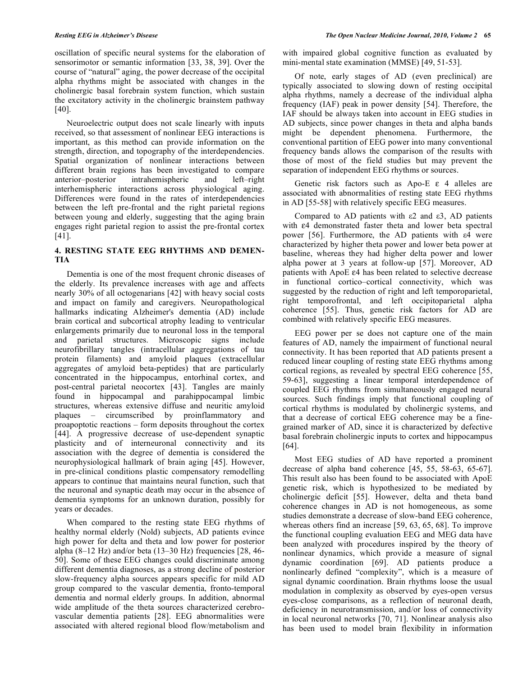oscillation of specific neural systems for the elaboration of sensorimotor or semantic information [33, 38, 39]. Over the course of "natural" aging, the power decrease of the occipital alpha rhythms might be associated with changes in the cholinergic basal forebrain system function, which sustain the excitatory activity in the cholinergic brainstem pathway [40].

 Neuroelectric output does not scale linearly with inputs received, so that assessment of nonlinear EEG interactions is important, as this method can provide information on the strength, direction, and topography of the interdependencies. Spatial organization of nonlinear interactions between different brain regions has been investigated to compare anterior–posterior intrahemispheric and left–right interhemispheric interactions across physiological aging. Differences were found in the rates of interdependencies between the left pre-frontal and the right parietal regions between young and elderly, suggesting that the aging brain engages right parietal region to assist the pre-frontal cortex [41].

## **4. RESTING STATE EEG RHYTHMS AND DEMEN-TIA**

 Dementia is one of the most frequent chronic diseases of the elderly. Its prevalence increases with age and affects nearly 30% of all octogenarians [42] with heavy social costs and impact on family and caregivers. Neuropathological hallmarks indicating Alzheimer's dementia (AD) include brain cortical and subcortical atrophy leading to ventricular enlargements primarily due to neuronal loss in the temporal and parietal structures. Microscopic signs include neurofibrillary tangles (intracellular aggregations of tau protein filaments) and amyloid plaques (extracellular aggregates of amyloid beta-peptides) that are particularly concentrated in the hippocampus, entorhinal cortex, and post-central parietal neocortex [43]. Tangles are mainly found in hippocampal and parahippocampal limbic structures, whereas extensive diffuse and neuritic amyloid plaques – circumscribed by proinflammatory and proapoptotic reactions – form deposits throughout the cortex [44]. A progressive decrease of use-dependent synaptic plasticity and of interneuronal connectivity and its association with the degree of dementia is considered the neurophysiological hallmark of brain aging [45]. However, in pre-clinical conditions plastic compensatory remodelling appears to continue that maintains neural function, such that the neuronal and synaptic death may occur in the absence of dementia symptoms for an unknown duration, possibly for years or decades.

 When compared to the resting state EEG rhythms of healthy normal elderly (Nold) subjects, AD patients evince high power for delta and theta and low power for posterior alpha  $(8-12 \text{ Hz})$  and/or beta  $(13-30 \text{ Hz})$  frequencies  $[28, 46-12 \text{ Hz}]$ 50]. Some of these EEG changes could discriminate among different dementia diagnoses, as a strong decline of posterior slow-frequency alpha sources appears specific for mild AD group compared to the vascular dementia, fronto-temporal dementia and normal elderly groups. In addition, abnormal wide amplitude of the theta sources characterized cerebrovascular dementia patients [28]. EEG abnormalities were associated with altered regional blood flow/metabolism and

with impaired global cognitive function as evaluated by mini-mental state examination (MMSE) [49, 51-53].

 Of note, early stages of AD (even preclinical) are typically associated to slowing down of resting occipital alpha rhythms, namely a decrease of the individual alpha frequency (IAF) peak in power density [54]. Therefore, the IAF should be always taken into account in EEG studies in AD subjects, since power changes in theta and alpha bands might be dependent phenomena. Furthermore, the conventional partition of EEG power into many conventional frequency bands allows the comparison of the results with those of most of the field studies but may prevent the separation of independent EEG rhythms or sources.

Genetic risk factors such as Apo-E  $\varepsilon$  4 alleles are associated with abnormalities of resting state EEG rhythms in AD [55-58] with relatively specific EEG measures.

Compared to AD patients with  $\varepsilon$ 2 and  $\varepsilon$ 3, AD patients with  $\varepsilon$ 4 demonstrated faster theta and lower beta spectral power [56]. Furthermore, the AD patients with  $\varepsilon$ 4 were characterized by higher theta power and lower beta power at baseline, whereas they had higher delta power and lower alpha power at 3 years at follow-up [57]. Moreover, AD patients with  $ApoE$   $\varepsilon$ 4 has been related to selective decrease in functional cortico–cortical connectivity, which was suggested by the reduction of right and left temporoparietal, right temporofrontal, and left occipitoparietal alpha coherence [55]. Thus, genetic risk factors for AD are combined with relatively specific EEG measures.

 EEG power per se does not capture one of the main features of AD, namely the impairment of functional neural connectivity. It has been reported that AD patients present a reduced linear coupling of resting state EEG rhythms among cortical regions, as revealed by spectral EEG coherence [55, 59-63], suggesting a linear temporal interdependence of coupled EEG rhythms from simultaneously engaged neural sources. Such findings imply that functional coupling of cortical rhythms is modulated by cholinergic systems, and that a decrease of cortical EEG coherence may be a finegrained marker of AD, since it is characterized by defective basal forebrain cholinergic inputs to cortex and hippocampus [64].

 Most EEG studies of AD have reported a prominent decrease of alpha band coherence [45, 55, 58-63, 65-67]. This result also has been found to be associated with ApoE genetic risk, which is hypothesized to be mediated by cholinergic deficit [55]. However, delta and theta band coherence changes in AD is not homogeneous, as some studies demonstrate a decrease of slow-band EEG coherence, whereas others find an increase [59, 63, 65, 68]. To improve the functional coupling evaluation EEG and MEG data have been analyzed with procedures inspired by the theory of nonlinear dynamics, which provide a measure of signal dynamic coordination [69]. AD patients produce a nonlinearly defined "complexity", which is a measure of signal dynamic coordination. Brain rhythms loose the usual modulation in complexity as observed by eyes-open versus eyes-close comparisons, as a reflection of neuronal death, deficiency in neurotransmission, and/or loss of connectivity in local neuronal networks [70, 71]. Nonlinear analysis also has been used to model brain flexibility in information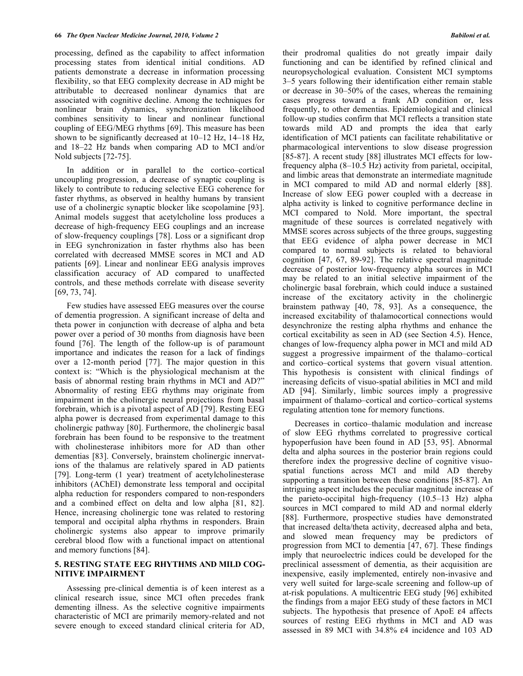processing, defined as the capability to affect information processing states from identical initial conditions. AD patients demonstrate a decrease in information processing flexibility, so that EEG complexity decrease in AD might be attributable to decreased nonlinear dynamics that are associated with cognitive decline. Among the techniques for nonlinear brain dynamics, synchronization likelihood combines sensitivity to linear and nonlinear functional coupling of EEG/MEG rhythms [69]. This measure has been shown to be significantly decreased at 10–12 Hz, 14–18 Hz, and 18–22 Hz bands when comparing AD to MCI and/or Nold subjects [72-75].

 In addition or in parallel to the cortico–cortical uncoupling progression, a decrease of synaptic coupling is likely to contribute to reducing selective EEG coherence for faster rhythms, as observed in healthy humans by transient use of a cholinergic synaptic blocker like scopolamine [93]. Animal models suggest that acetylcholine loss produces a decrease of high-frequency EEG couplings and an increase of slow-frequency couplings [78]. Loss or a significant drop in EEG synchronization in faster rhythms also has been correlated with decreased MMSE scores in MCI and AD patients [69]. Linear and nonlinear EEG analysis improves classification accuracy of AD compared to unaffected controls, and these methods correlate with disease severity [69, 73, 74].

 Few studies have assessed EEG measures over the course of dementia progression. A significant increase of delta and theta power in conjunction with decrease of alpha and beta power over a period of 30 months from diagnosis have been found [76]. The length of the follow-up is of paramount importance and indicates the reason for a lack of findings over a 12-month period [77]. The major question in this context is: "Which is the physiological mechanism at the basis of abnormal resting brain rhythms in MCI and AD?" Abnormality of resting EEG rhythms may originate from impairment in the cholinergic neural projections from basal forebrain, which is a pivotal aspect of AD [79]. Resting EEG alpha power is decreased from experimental damage to this cholinergic pathway [80]. Furthermore, the cholinergic basal forebrain has been found to be responsive to the treatment with cholinesterase inhibitors more for AD than other dementias [83]. Conversely, brainstem cholinergic innervations of the thalamus are relatively spared in AD patients [79]. Long-term (1 year) treatment of acetylcholinesterase inhibitors (AChEI) demonstrate less temporal and occipital alpha reduction for responders compared to non-responders and a combined effect on delta and low alpha [81, 82]. Hence, increasing cholinergic tone was related to restoring temporal and occipital alpha rhythms in responders. Brain cholinergic systems also appear to improve primarily cerebral blood flow with a functional impact on attentional and memory functions [84].

#### **5. RESTING STATE EEG RHYTHMS AND MILD COG-NITIVE IMPAIRMENT**

 Assessing pre-clinical dementia is of keen interest as a clinical research issue, since MCI often precedes frank dementing illness. As the selective cognitive impairments characteristic of MCI are primarily memory-related and not severe enough to exceed standard clinical criteria for AD,

their prodromal qualities do not greatly impair daily functioning and can be identified by refined clinical and neuropsychological evaluation. Consistent MCI symptoms 3–5 years following their identification either remain stable or decrease in 30–50% of the cases, whereas the remaining cases progress toward a frank AD condition or, less frequently, to other dementias. Epidemiological and clinical follow-up studies confirm that MCI reflects a transition state towards mild AD and prompts the idea that early identification of MCI patients can facilitate rehabilitative or pharmacological interventions to slow disease progression [85-87]. A recent study [88] illustrates MCI effects for lowfrequency alpha (8–10.5 Hz) activity from parietal, occipital, and limbic areas that demonstrate an intermediate magnitude in MCI compared to mild AD and normal elderly [88]. Increase of slow EEG power coupled with a decrease in alpha activity is linked to cognitive performance decline in MCI compared to Nold. More important, the spectral magnitude of these sources is correlated negatively with MMSE scores across subjects of the three groups, suggesting that EEG evidence of alpha power decrease in MCI compared to normal subjects is related to behavioral cognition [47, 67, 89-92]. The relative spectral magnitude decrease of posterior low-frequency alpha sources in MCI may be related to an initial selective impairment of the cholinergic basal forebrain, which could induce a sustained increase of the excitatory activity in the cholinergic brainstem pathway [40, 78, 93]. As a consequence, the increased excitability of thalamocortical connections would desynchronize the resting alpha rhythms and enhance the cortical excitability as seen in AD (see Section 4.5). Hence, changes of low-frequency alpha power in MCI and mild AD suggest a progressive impairment of the thalamo–cortical and cortico–cortical systems that govern visual attention. This hypothesis is consistent with clinical findings of increasing deficits of visuo-spatial abilities in MCI and mild AD [94]. Similarly, limbic sources imply a progressive impairment of thalamo–cortical and cortico–cortical systems regulating attention tone for memory functions.

 Decreases in cortico–thalamic modulation and increase of slow EEG rhythms correlated to progressive cortical hypoperfusion have been found in AD [53, 95]. Abnormal delta and alpha sources in the posterior brain regions could therefore index the progressive decline of cognitive visuospatial functions across MCI and mild AD thereby supporting a transition between these conditions [85-87]. An intriguing aspect includes the peculiar magnitude increase of the parieto-occipital high-frequency (10.5–13 Hz) alpha sources in MCI compared to mild AD and normal elderly [88]. Furthermore, prospective studies have demonstrated that increased delta/theta activity, decreased alpha and beta, and slowed mean frequency may be predictors of progression from MCI to dementia [47, 67]. These findings imply that neuroelectric indices could be developed for the preclinical assessment of dementia, as their acquisition are inexpensive, easily implemented, entirely non-invasive and very well suited for large-scale screening and follow-up of at-risk populations. A multicentric EEG study [96] exhibited the findings from a major EEG study of these factors in MCI subjects. The hypothesis that presence of ApoE  $\varepsilon$ 4 affects sources of resting EEG rhythms in MCI and AD was assessed in 89 MCI with  $34.8\%$   $\varepsilon4$  incidence and 103 AD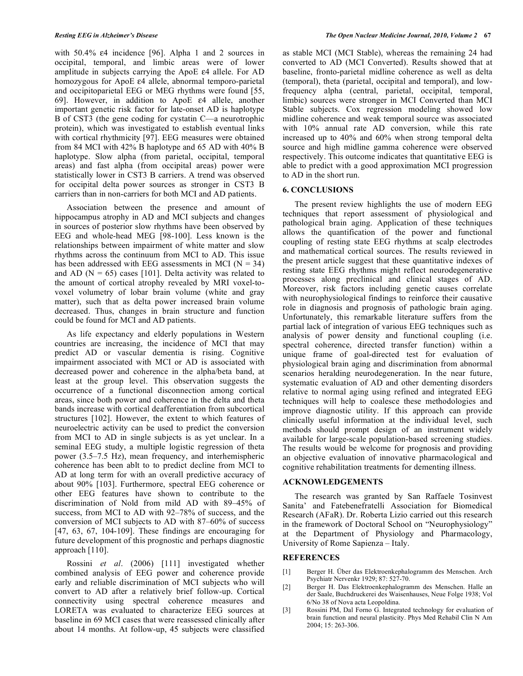with  $50.4\%$   $\varepsilon$ 4 incidence [96]. Alpha 1 and 2 sources in occipital, temporal, and limbic areas were of lower amplitude in subjects carrying the ApoE  $\varepsilon$ 4 allele. For AD homozygous for ApoE  $\varepsilon$ 4 allele, abnormal temporo-parietal and occipitoparietal EEG or MEG rhythms were found [55, 69]. However, in addition to ApoE  $\varepsilon$ 4 allele, another important genetic risk factor for late-onset AD is haplotype B of CST3 (the gene coding for cystatin C—a neurotrophic protein), which was investigated to establish eventual links with cortical rhythmicity [97]. EEG measures were obtained from 84 MCI with 42% B haplotype and 65 AD with 40% B haplotype. Slow alpha (from parietal, occipital, temporal areas) and fast alpha (from occipital areas) power were statistically lower in CST3 B carriers. A trend was observed for occipital delta power sources as stronger in CST3 B carriers than in non-carriers for both MCI and AD patients.

 Association between the presence and amount of hippocampus atrophy in AD and MCI subjects and changes in sources of posterior slow rhythms have been observed by EEG and whole-head MEG [98-100]. Less known is the relationships between impairment of white matter and slow rhythms across the continuum from MCI to AD. This issue has been addressed with EEG assessments in MCI ( $N = 34$ ) and AD ( $N = 65$ ) cases [101]. Delta activity was related to the amount of cortical atrophy revealed by MRI voxel-tovoxel volumetry of lobar brain volume (white and gray matter), such that as delta power increased brain volume decreased. Thus, changes in brain structure and function could be found for MCI and AD patients.

 As life expectancy and elderly populations in Western countries are increasing, the incidence of MCI that may predict AD or vascular dementia is rising. Cognitive impairment associated with MCI or AD is associated with decreased power and coherence in the alpha/beta band, at least at the group level. This observation suggests the occurrence of a functional disconnection among cortical areas, since both power and coherence in the delta and theta bands increase with cortical deafferentiation from subcortical structures [102]. However, the extent to which features of neuroelectric activity can be used to predict the conversion from MCI to AD in single subjects is as yet unclear. In a seminal EEG study, a multiple logistic regression of theta power (3.5–7.5 Hz), mean frequency, and interhemispheric coherence has been ablt to to predict decline from MCI to AD at long term for with an overall predictive accuracy of about 90% [103]. Furthermore, spectral EEG coherence or other EEG features have shown to contribute to the discrimination of Nold from mild AD with 89–45% of success, from MCI to AD with 92–78% of success, and the conversion of MCI subjects to AD with 87–60% of success [47, 63, 67, 104-109]. These findings are encouraging for future development of this prognostic and perhaps diagnostic approach [110].

 Rossini *et al*. (2006) [111] investigated whether combined analysis of EEG power and coherence provide early and reliable discrimination of MCI subjects who will convert to AD after a relatively brief follow-up. Cortical connectivity using spectral coherence measures and LORETA was evaluated to characterize EEG sources at baseline in 69 MCI cases that were reassessed clinically after about 14 months. At follow-up, 45 subjects were classified

as stable MCI (MCI Stable), whereas the remaining 24 had converted to AD (MCI Converted). Results showed that at baseline, fronto-parietal midline coherence as well as delta (temporal), theta (parietal, occipital and temporal), and lowfrequency alpha (central, parietal, occipital, temporal, limbic) sources were stronger in MCI Converted than MCI Stable subjects. Cox regression modeling showed low midline coherence and weak temporal source was associated with 10% annual rate AD conversion, while this rate increased up to 40% and 60% when strong temporal delta source and high midline gamma coherence were observed respectively. This outcome indicates that quantitative EEG is able to predict with a good approximation MCI progression to AD in the short run.

### **6. CONCLUSIONS**

 The present review highlights the use of modern EEG techniques that report assessment of physiological and pathological brain aging. Application of these techniques allows the quantification of the power and functional coupling of resting state EEG rhythms at scalp electrodes and mathematical cortical sources. The results reviewed in the present article suggest that these quantitative indexes of resting state EEG rhythms might reflect neurodegenerative processes along preclinical and clinical stages of AD. Moreover, risk factors including genetic causes correlate with neurophysiological findings to reinforce their causative role in diagnosis and prognosis of pathologic brain aging. Unfortunately, this remarkable literature suffers from the partial lack of integration of various EEG techniques such as analysis of power density and functional coupling (i.e. spectral coherence, directed transfer function) within a unique frame of goal-directed test for evaluation of physiological brain aging and discrimination from abnormal scenarios heralding neurodegeneration. In the near future, systematic evaluation of AD and other dementing disorders relative to normal aging using refined and integrated EEG techniques will help to coalesce these methodologies and improve diagnostic utility. If this approach can provide clinically useful information at the individual level, such methods should prompt design of an instrument widely available for large-scale population-based screening studies. The results would be welcome for prognosis and providing an objective evaluation of innovative pharmacological and cognitive rehabilitation treatments for dementing illness.

#### **ACKNOWLEDGEMENTS**

 The research was granted by San Raffaele Tosinvest Sanita' and Fatebenefratelli Association for Biomedical Research (AFaR). Dr. Roberta Lizio carried out this research in the framework of Doctoral School on "Neurophysiology" at the Department of Physiology and Pharmacology, University of Rome Sapienza – Italy.

#### **REFERENCES**

- [1] Berger H. Über das Elektroenkephalogramm des Menschen. Arch Psychiatr Nervenkr 1929; 87: 527-70.
- [2] Berger H. Das Elektroenkephalogramm des Menschen. Halle an der Saale, Buchdruckerei des Waisenhauses, Neue Folge 1938; Vol 6/No 38 of Nova acta Leopoldina.
- [3] Rossini PM, Dal Forno G. Integrated technology for evaluation of brain function and neural plasticity. Phys Med Rehabil Clin N Am 2004; 15: 263-306.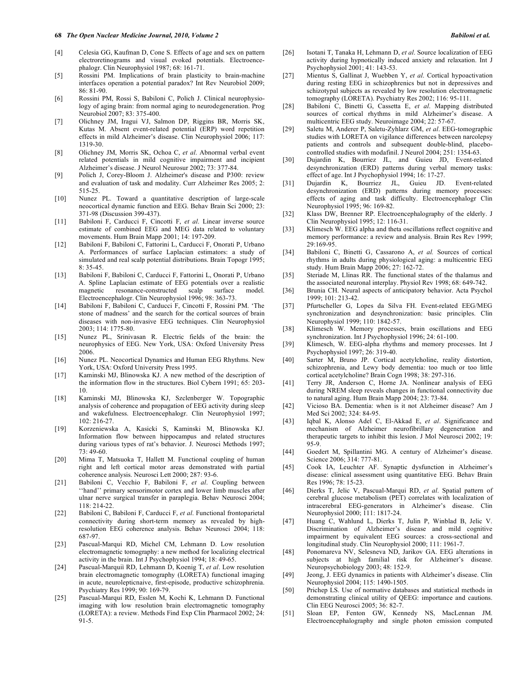#### **68** *The Open Nuclear Medicine Journal, 2010, Volume 2 Babiloni et al.*

- [4] Celesia GG, Kaufman D, Cone S. Effects of age and sex on pattern electroretinograms and visual evoked potentials. Electroencephalogr. Clin Neurophysiol 1987; 68: 161-71.
- [5] Rossini PM. Implications of brain plasticity to brain-machine interfaces operation a potential paradox? Int Rev Neurobiol 2009; 86: 81-90.
- [6] Rossini PM, Rossi S, Babiloni C, Polich J. Clinical neurophysiology of aging brain: from normal aging to neurodegeneration. Prog Neurobiol 2007; 83: 375-400.
- [7] Olichney JM, Iragui VJ, Salmon DP, Riggins BR, Morris SK, Kutas M. Absent event-related potential (ERP) word repetition effects in mild Alzheimer's disease. Clin Neurophysiol 2006; 117: 1319-30.
- [8] Olichney JM, Morris SK, Ochoa C, *et al*. Abnormal verbal event related potentials in mild cognitive impairment and incipient Alzheimer's disease. J Neurol Neurosur 2002; 73: 377-84.
- [9] Polich J, Corey-Bloom J. Alzheimer's disease and P300: review and evaluation of task and modality. Curr Alzheimer Res 2005; 2: 515-25.
- [10] Nunez PL. Toward a quantitative description of large-scale neocortical dynamic function and EEG. Behav Brain Sci 2000; 23: 371-98 (Discussion 399-437).
- [11] Babiloni F, Carducci F, Cincotti F, *et al*. Linear inverse source estimate of combined EEG and MEG data related to voluntary movements. Hum Brain Mapp 2001; 14: 197-209.
- [12] Babiloni F, Babiloni C, Fattorini L, Carducci F, Onorati P, Urbano A. Performances of surface Laplacian estimators: a study of simulated and real scalp potential distributions. Brain Topogr 1995; 8: 35-45.
- [13] Babiloni F, Babiloni C, Carducci F, Fattorini L, Onorati P, Urbano A. Spline Laplacian estimate of EEG potentials over a realistic magnetic resonance-constructed scalp surface model. Electroencephalogr. Clin Neurophysiol 1996; 98: 363-73.
- [14] Babiloni F, Babiloni C, Carducci F, Cincotti F, Rossini PM. 'The stone of madness' and the search for the cortical sources of brain diseases with non-invasive EEG techniques. Clin Neurophysiol 2003; 114: 1775-80.
- [15] Nunez PL, Srinivasan R. Electric fields of the brain: the neurophysics of EEG. New York, USA: Oxford University Press 2006.
- [16] Nunez PL. Neocortical Dynamics and Human EEG Rhythms. New York, USA: Oxford University Press 1995.
- [17] Kaminski MJ, Blinowska KJ. A new method of the description of the information flow in the structures. Biol Cybern 1991; 65: 203- 10.
- [18] Kaminski MJ, Blinowska KJ, Szclenberger W. Topographic analysis of coherence and propagation of EEG activity during sleep and wakefulness. Electroencephalogr. Clin Neurophysiol 1997; 102: 216-27.
- [19] Korzeniewska A, Kasicki S, Kaminski M, Blinowska KJ. Information flow between hippocampus and related structures during various types of rat's behavior. J. Neurosci Methods 1997;  $73:49-60.$
- [20] Mima T, Matsuoka T, Hallett M. Functional coupling of human right and left cortical motor areas demonstrated with partial coherence analysis. Neurosci Lett 2000; 287: 93-6.
- [21] Babiloni C, Vecchio F, Babiloni F, *et al*. Coupling between ''hand'' primary sensorimotor cortex and lower limb muscles after ulnar nerve surgical transfer in paraplegia. Behav Neurosci 2004; 118: 214-22.
- [22] Babiloni C, Babiloni F, Carducci F, *et al*. Functional frontoparietal connectivity during short-term memory as revealed by highresolution EEG coherence analysis. Behav Neurosci 2004; 118: 687-97.
- [23] Pascual-Marqui RD, Michel CM, Lehmann D. Low resolution electromagnetic tomography: a new method for localizing electrical activity in the brain. Int J Psychophysiol 1994; 18: 49-65.
- [24] Pascual-Marquiì RD, Lehmann D, Koenig T, *et al*. Low resolution brain electromagnetic tomography (LORETA) functional imaging in acute, neurolepticnaive, first-episode, productive schizophrenia. Psychiatry Res 1999; 90: 169-79.
- [25] Pascual-Marqui RD, Esslen M, Kochi K, Lehmann D. Functional imaging with low resolution brain electromagnetic tomography (LORETA): a review. Methods Find Exp Clin Pharmacol 2002; 24: 91-5.
- [26] Isotani T, Tanaka H, Lehmann D, *et al*. Source localization of EEG activity during hypnotically induced anxiety and relaxation. Int J Psychophysiol 2001; 41: 143-53.
- [27] Mientus S, Gallinat J, Wuebben Y, *et al*. Cortical hypoactivation during resting EEG in schizophrenics but not in depressives and schizotypal subjects as revealed by low resolution electromagnetic tomography (LORETA). Psychiatry Res 2002; 116: 95-111.
- [28] Babiloni C, Binetti G, Cassetta E, *et al*. Mapping distributed sources of cortical rhythms in mild Alzheimer's disease. A multicentric EEG study. Neuroimage 2004; 22: 57-67.
- [29] Saletu M, Anderer P, Saletu-Zyhlarz GM, *et al*. EEG-tomographic studies with LORETA on vigilance differences between narcolepsy patients and controls and subsequent double-blind, placebocontrolled studies with modafinil. J Neurol 2004; 251: 1354-63.
- [30] Dujardin K, Bourriez JL, and Guieu JD, Event-related desynchronization (ERD) patterns during verbal memory tasks: effect of age. Int J Psychophysiol 1994; 16: 17-27.
- [31] Dujardin K, Bourriez JL, Guieu JD. Event-related desynchronization (ERD) patterns during memory processes: effects of aging and task difficulty. Electroencephalogr Clin Neurophysiol 1995; 96: 169-82.
- [32] Klass DW, Brenner RP. Electroencephalography of the elderly. J Clin Neurophysiol 1995; 12: 116-31.
- [33] Klimesch W. EEG alpha and theta oscillations reflect cognitive and memory performance: a review and analysis. Brain Res Rev 1999; 29:169-95.
- [34] Babiloni C, Binetti G, Cassarono A, *et al.* Sources of cortical rhythms in adults during physiological aging: a multicentric EEG study. Hum Brain Mapp 2006; 27: 162-72.
- [35] Steriade M, Llinas RR. The functional states of the thalamus and the associated neuronal interplay. Physiol Rev 1998; 68: 649-742.
- [36] Brunia CH. Neural aspects of anticipatory behavior. Acta Psychol 1999; 101: 213-42.
- [37] Pfurtscheller G, Lopes da Silva FH. Event-related EEG/MEG synchronization and desynchronization: basic principles. Clin Neurophysiol 1999; 110: 1842-57.
- [38] Klimesch W. Memory processes, brain oscillations and EEG synchronization. Int J Psychophysiol 1996; 24: 61-100.
- [39] Klimesch, W. EEG-alpha rhythms and memory processes. Int J Psychophysiol 1997; 26: 319-40.
- [40] Sarter M, Bruno JP. Cortical acetylcholine, reality distortion, schizophrenia, and Lewy body dementia: too much or too little cortical acetylcholine? Brain Cogn 1998; 38: 297-316.
- [41] Terry JR, Anderson C, Horne JA. Nonlinear analysis of EEG during NREM sleep reveals changes in functional connectivity due to natural aging. Hum Brain Mapp 2004; 23: 73-84.
- [42] Vicioso BA. Dementia: when is it not Alzheimer disease? Am J Med Sci 2002; 324: 84-95.
- [43] Iqbal K, Alonso Adel C, El-Akkad E, *et al*. Significance and mechanism of Alzheimer neurofibrillary degeneration and therapeutic targets to inhibit this lesion. J Mol Neurosci 2002; 19: 95-9.
- [44] Goedert M, Spillantini MG. A century of Alzheimer's disease. Science 2006; 314: 777-81.
- [45] Cook IA, Leuchter AF. Synaptic dysfunction in Alzheimer's disease: clinical assessment using quantitative EEG. Behav Brain Res 1996; 78: 15-23.
- [46] Dierks T, Jelic V, Pascual-Marqui RD, *et al*. Spatial pattern of cerebral glucose metabolism (PET) correlates with localization of intracerebral EEG-generators in Alzheimer's disease. Clin Neurophysiol 2000; 111: 1817-24.
- [47] Huang C, Wahlund L, Dierks T, Julin P, Winblad B, Jelic V. Discrimination of Alzheimer's disease and mild cognitive impairment by equivalent EEG sources: a cross-sectional and longitudinal study. Clin Neurophysiol 2000; 111: 1961-7.
- [48] Ponomareva NV, Selesneva ND, Jarikov GA. EEG alterations in subjects at high familial risk for Alzheimer's disease. Neuropsychobiology 2003; 48: 152-9.
- [49] Jeong, J. EEG dynamics in patients with Alzheimer's disease. Clin Neurophysiol 2004; 115: 1490-1505.
- [50] Prichep LS. Use of normative databases and statistical methods in demonstrating clinical utility of QEEG: importance and cautions. Clin EEG Neurosci 2005; 36: 82-7.
- [51] Sloan EP, Fenton GW, Kennedy NS, MacLennan JM. Electroencephalography and single photon emission computed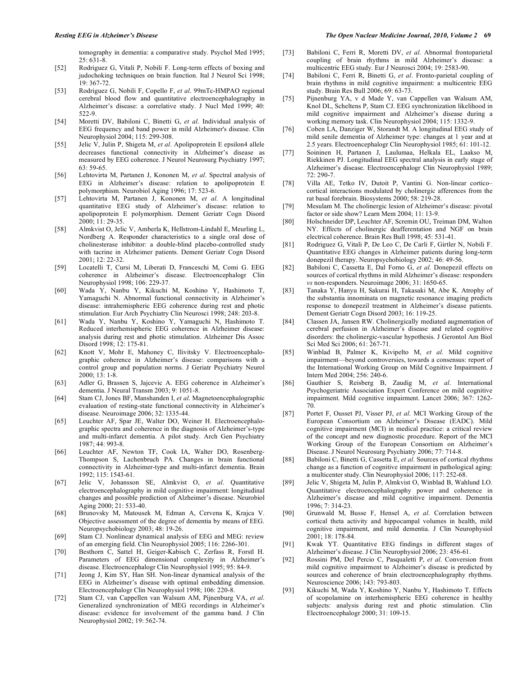tomography in dementia: a comparative study. Psychol Med 1995; 25: 631-8.

- [52] Rodriguez G, Vitali P, Nobili F. Long-term effects of boxing and judochoking techniques on brain function. Ital J Neurol Sci 1998; 19: 367-72.
- [53] Rodriguez G, Nobili F, Copello F, *et al*. 99mTc-HMPAO regional cerebral blood flow and quantitative electroencephalography in Alzheimer's disease: a correlative study. J Nucl Med 1999; 40: 522-9.
- [54] Moretti DV, Babiloni C, Binetti G, *et al*. Individual analysis of EEG frequency and band power in mild Alzheimer's disease. Clin Neurophysiol 2004; 115: 299-308.
- [55] Jelic V, Julin P, Shigeta M, *et al*. Apolipoprotein E epsilon4 allele decreases functional connectivity in Alzheimer's disease as measured by EEG coherence. J Neurol Neurosurg Psychiatry 1997; 63: 59-65.
- [56] Lehtovirta M, Partanen J, Kononen M, *et al*. Spectral analysis of EEG in Alzheimer's disease: relation to apolipoprotein E polymorphism. Neurobiol Aging 1996; 17: 523-6.
- [57] Lehtovirta M, Partanen J, Kononen M, *et al*. A longitudinal quantitative EEG study of Alzheimer's disease: relation to apolipoprotein E polymorphism. Dement Geriatr Cogn Disord 2000; 11: 29-35.
- [58] Almkvist O, Jelic V, Amberla K, Hellstrom-Lindahl E, Meurling L, Nordberg A. Responder characteristics to a single oral dose of cholinesterase inhibitor: a double-blind placebo-controlled study with tacrine in Alzheimer patients. Dement Geriatr Cogn Disord 2001; 12: 22-32.
- [59] Locatelli T, Cursi M, Liberati D, Franceschi M, Comi G. EEG coherence in Alzheimer's disease. Electroencephalogr Clin Neurophysiol 1998; 106: 229-37.
- [60] Wada Y, Nanbu Y, Kikuchi M, Koshino Y, Hashimoto T, Yamaguchi N. Abnormal functional connectivity in Alzheimer's disease: intrahemispheric EEG coherence during rest and photic stimulation. Eur Arch Psychiatry Clin Neurosci 1998; 248: 203-8.
- [61] Wada Y, Nanbu Y, Koshino Y, Yamaguchi N, Hashimoto T. Reduced interhemispheric EEG coherence in Alzheimer disease: analysis during rest and photic stimulation. Alzheimer Dis Assoc Disord 1998; 12: 175-81.
- [62] Knott V, Mohr E, Mahoney C, Ilivitsky V. Electroencephalographic coherence in Alzheimer's disease: comparisons with a control group and population norms. J Geriatr Psychiatry Neurol 2000; 13: 1-8.
- [63] Adler G, Brassen S, Jajcevic A. EEG coherence in Alzheimer's dementia. J Neural Transm 2003; 9: 1051-8.
- [64] Stam CJ, Jones BF, Manshanden I, *et al*. Magnetoencephalographic evaluation of resting-state functional connectivity in Alzheimer's disease. Neuroimage 2006; 32: 1335-44.
- [65] Leuchter AF, Spar JE, Walter DO, Weiner H. Electroencephalographic spectra and coherence in the diagnosis of Alzheimer's-type and multi-infarct dementia. A pilot study. Arch Gen Psychiatry 1987; 44: 993-8.
- [66] Leuchter AF, Newton TF, Cook IA, Walter DO, Rosenberg-Thompson S, Lachenbruch PA. Changes in brain functional connectivity in Alzheimer-type and multi-infarct dementia. Brain 1992; 115: 1543-61.
- [67] Jelic V, Johansson SE, Almkvist O, *et al*. Quantitative electroencephalography in mild cognitive impairment: longitudinal changes and possible prediction of Alzheimer's disease. Neurobiol Aging 2000; 21: 533-40.
- [68] Brunovsky M, Matousek M, Edman A, Cervena K, Krajca V. Objective assessment of the degree of dementia by means of EEG. Neuropsychobiology 2003; 48: 19-26.
- [69] Stam CJ. Nonlinear dynamical analysis of EEG and MEG: review of an emerging field. Clin Neurophysiol 2005; 116: 2266-301.
- [70] Besthorn C, Sattel H, Geiger-Kabisch C, Zerfass R, Forstl H. Parameters of EEG dimensional complexity in Alzheimer's disease. Electroencephalogr Clin Neurophysiol 1995; 95: 84-9.
- [71] Jeong J, Kim SY, Han SH. Non-linear dynamical analysis of the EEG in Alzheimer's disease with optimal embedding dimension. Electroencephalogr Clin Neurophysiol 1998; 106: 220-8.
- [72] Stam CJ, van Cappellen van Walsum AM, Pijnenburg VA, *et al*. Generalized synchronization of MEG recordings in Alzheimer's disease: evidence for involvement of the gamma band. J Clin Neurophysiol 2002; 19: 562-74.
- [73] Babiloni C, Ferri R, Moretti DV, *et al*. Abnormal frontoparietal coupling of brain rhythms in mild Alzheimer's disease: a multicentric EEG study. Eur J Neurosci 2004; 19: 2583-90.
- [74] Babiloni C, Ferri R, Binetti G, *et al*. Fronto-parietal coupling of brain rhythms in mild cognitive impairment: a multicentric EEG study. Brain Res Bull 2006; 69: 63-73.
- [75] Pijnenburg YA, v d Made Y, van Cappellen van Walsum AM, Knol DL, Scheltens P, Stam CJ. EEG synchronization likelihood in mild cognitive impairment and Alzheimer's disease during a working memory task. Clin Neurophysiol 2004; 115: 1332-9.
- [76] Coben LA, Danziger W, Storandt M. A longitudinal EEG study of mild senile dementia of Alzheimer type: changes at 1 year and at 2.5 years. Electroencephalogr Clin Neurophysiol 1985; 61: 101-12.
- [77] Soininen H, Partanen J, Laulumaa, Helkala EL, Laakso M, Riekkinen PJ. Longitudinal EEG spectral analysis in early stage of Alzheimer's disease. Electroencephalogr Clin Neurophysiol 1989; 72: 290-7.
- [78] Villa AE, Tetko IV, Dutoit P, Vantini G. Non-linear cortico– cortical interactions modulated by cholinergic afferences from the rat basal forebrain. Biosystems 2000; 58: 219-28.
- [79] Mesulam M. The cholinergic lesion of Alzheimer's disease: pivotal factor or side show? Learn Mem 2004; 11: 13-9.
- [80] Holschneider DP, Leuchter AF, Scremin OU, Treiman DM, Walton NY. Effects of cholinergic deafferentation and NGF on brain electrical coherence. Brain Res Bull 1998; 45: 531-41.
- [81] Rodriguez G, Vitali P, De Leo C, De Carli F, Girtler N, Nobili F. Quantitative EEG changes in Alzheimer patients during long-term donepezil therapy. Neuropsychobiology 2002; 46: 49-56.
- [82] Babiloni C, Cassetta E, Dal Forno G, *et al*. Donepezil effects on sources of cortical rhythms in mild Alzheimer's disease: responders *vs* non-responders. Neuroimage 2006; 31: 1650-65.
- [83] Tanaka Y, Hanyu H, Sakurai H, Takasaki M, Abe K. Atrophy of the substantia innominata on magnetic resonance imaging predicts response to donepezil treatment in Alzheimer's disease patients. Dement Geriatr Cogn Disord 2003; 16: 119-25.
- [84] Classen JA, Jansen RW. Cholinergically mediated augmentation of cerebral perfusion in Alzheimer's disease and related cognitive disorders: the cholinergic-vascular hypothesis. J Gerontol Am Biol Sci Med Sci 2006; 61: 267-71.
- [85] Winblad B, Palmer K, Kivipelto M, *et al*. Mild cognitive impairment—beyond controversies, towards a consensus: report of the International Working Group on Mild Cognitive Impairment. J Intern Med 2004; 256: 240-6.
- [86] Gauthier S, Reisberg B, Zaudig M, *et al*. International Psychogeriatric Association Expert Conference on mild cognitive impairment. Mild cognitive impairment. Lancet 2006; 367: 1262- 70.
- [87] Portet F, Ousset PJ, Visser PJ, *et al*. MCI Working Group of the European Consortium on Alzheimer's Disease (EADC). Mild cognitive impairment (MCI) in medical practice: a critical review of the concept and new diagnostic procedure. Report of the MCI Working Group of the European Consortium on Alzheimer's Disease. J Neurol Neurosurg Psychiatry 2006; 77: 714-8.
- [88] Babiloni C, Binetti G, Cassetta E, *et al*. Sources of cortical rhythms change as a function of cognitive impairment in pathological aging: a multicenter study. Clin Neurophysiol 2006; 117: 252-68.
- [89] Jelic V, Shigeta M, Julin P, Almkvist O, Winblad B, Wahlund LO. Quantitative electroencephalography power and coherence in Alzheimer's disease and mild cognitive impairment. Dementia 1996; 7: 314-23.
- [90] Grunwald M, Busse F, Hensel A, *et al*. Correlation between cortical theta activity and hippocampal volumes in health, mild cognitive impairment, and mild dementia. J Clin Neurophysiol 2001; 18: 178-84.
- [91] Kwak YT. Quantitative EEG findings in different stages of Alzheimer's disease. J Clin Neurophysiol 2006; 23: 456-61.
- [92] Rossini PM, Del Percio C, Pasqualetti P, *et al*. Conversion from mild cognitive impairment to Alzheimer's disease is predicted by sources and coherence of brain electroencephalography rhythms. Neuroscience 2006; 143: 793-803.
- [93] Kikuchi M, Wada Y, Koshino Y, Nanbu Y, Hashimoto T. Effects of scopolamine on interhemispheric EEG coherence in healthy subjects: analysis during rest and photic stimulation. Clin Electroencephalogr 2000; 31: 109-15.